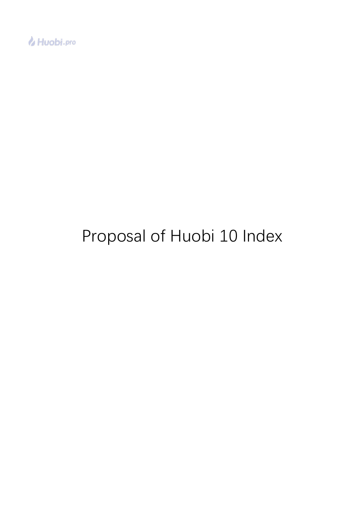

# Proposal of Huobi 10 Index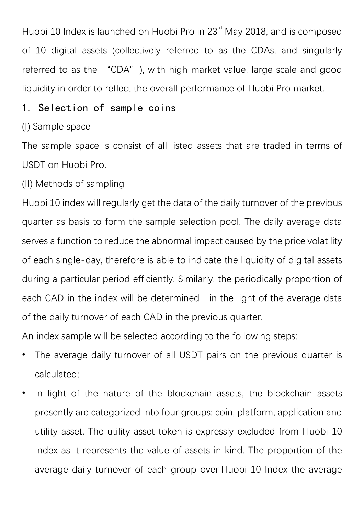Huobi 10 Index is launched on Huobi Pro in 23<sup>rd</sup> May 2018, and is composed of 10 digital assets (collectively referred to as the CDAs, and singularly referred to as the "CDA"), with high market value, large scale and good liquidity in order to reflect the overall performance of Huobi Pro market.

#### 1. Selection of sample coins

#### (I) Sample space

The sample space is consist of all listed assets that are traded in terms of USDT on Huobi Pro.

(II) Methods of sampling

Huobi 10 index will regularly get the data of the daily turnover of the previous guarter as basis to form the sample selection pool. The daily average data serves a function to reduce the abnormal impact caused by the price volatility of each single-day, therefore is able to indicate the liquidity of digital assets during a particular period efficiently. Similarly, the periodically proportion of each CAD in the index will be determined in the light of the average data of the daily turnover of each CAD in the previous quarter.

An index sample will be selected according to the following steps:

- The average daily turnover of all USDT pairs on the previous quarter is calculated;
- In light of the nature of the blockchain assets, the blockchain assets presently are categorized into four groups: coin, platform, application and utility asset. The utility asset token is expressly excluded from Huobi 10 Index as it represents the value of assets in kind. The proportion of the average daily turnover of each group over Huobi 10 Index the average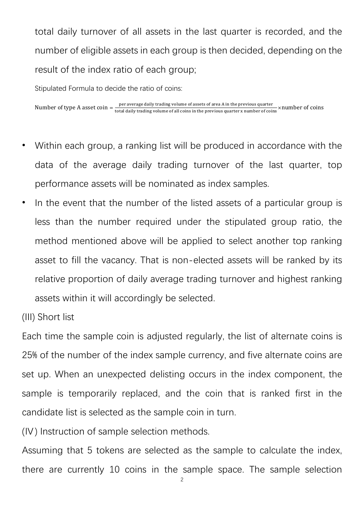total daily turnover of all assets in the last quarter is recorded, and the number of eligible assets in each group is then decided, depending on the result of the index ratio of each group;

Stipulated Formula to decide the ratio of coins:

Number of type A asset coin  $=\frac{\text{per average daily trading volume of assets of area A in the previous quarter}}{\text{total daily trading volume of all coins in the previous quarter x number of coins}}$  ×number of coins

- Within each group, a ranking list will be produced in accordance with the data of the average daily trading turnover of the last quarter, top performance assets will be nominated as index samples.
- In the event that the number of the listed assets of a particular group is less than the number required under the stipulated group ratio, the method mentioned above will be applied to select another top ranking asset to fill the vacancy. That is non-elected assets will be ranked by its relative proportion of daily average trading turnover and highest ranking assets within it will accordingly be selected.
- (III) Short list

Each time the sample coin is adjusted regularly, the list of alternate coins is 25% of the number of the index sample currency, and five alternate coins are set up. When an unexpected delisting occurs in the index component, the sample is temporarily replaced, and the coin that is ranked first in the candidate list is selected as the sample coin in turn.

(IV) Instruction of sample selection methods.

Assuming that 5 tokens are selected as the sample to calculate the index, there are currently 10 coins in the sample space. The sample selection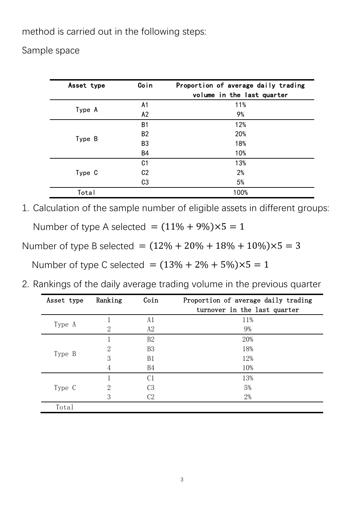method is carried out in the following steps:

Sample space

| Asset type | Coin           | Proportion of average daily trading |
|------------|----------------|-------------------------------------|
|            |                | volume in the last quarter          |
| Type A     | A <sub>1</sub> | 11%                                 |
|            | A2             | 9%                                  |
| Type B     | B <sub>1</sub> | 12%                                 |
|            | B <sub>2</sub> | 20%                                 |
|            | B <sub>3</sub> | 18%                                 |
|            | <b>B4</b>      | 10%                                 |
| Type C     | C <sub>1</sub> | 13%                                 |
|            | C <sub>2</sub> | 2%                                  |
|            | C <sub>3</sub> | 5%                                  |
| Total      |                | 100%                                |

1. Calculation of the sample number of eligible assets in different groups:

Number of type A selected =  $(11\% + 9\%) \times 5 = 1$ 

Number of type B selected =  $(12\% + 20\% + 18\% + 10\%) \times 5 = 3$ 

Number of type C selected =  $(13% + 2% + 5%) \times 5 = 1$ 

2. Rankings of the daily average trading volume in the previous quarter

| Asset type | Ranking | Coin           | Proportion of average daily trading |
|------------|---------|----------------|-------------------------------------|
|            |         |                | turnover in the last quarter        |
| Type A     |         | A1             | 11%                                 |
|            | 2       | A2             | 9%                                  |
| Type B     |         | B2             | 20%                                 |
|            | 2       | B <sub>3</sub> | 18%                                 |
|            | 3       | B1             | 12%                                 |
|            | 4       | <b>B4</b>      | 10%                                 |
| Type C     |         | C <sub>1</sub> | 13%                                 |
|            | 2       | C <sub>3</sub> | 5%                                  |
|            | 3       | C <sub>2</sub> | 2%                                  |
| Total      |         |                |                                     |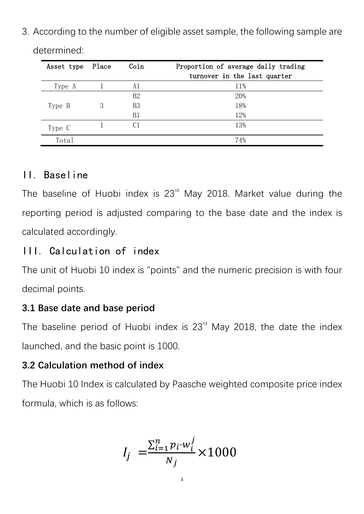3. According to the number of eligible asset sample, the following sample are

| Asset type | Place | Coin           | Proportion of average daily trading<br>turnover in the last quarter |
|------------|-------|----------------|---------------------------------------------------------------------|
| Type A     |       | A1             | 11%                                                                 |
|            |       | B2             | 20%                                                                 |
| Type B     | 3     | B <sub>3</sub> | 18%                                                                 |
|            |       | B1             | 12%                                                                 |
| Type C     |       | C1             | 13%                                                                 |
| Total      |       |                | 74%                                                                 |

determined:

## II. Baseline

The baseline of Huobi index is 23<sup>rd</sup> May 2018. Market value during the reporting period is adjusted comparing to the base date and the index is calculated accordingly.

# III. Calculation of index

The unit of Huobi 10 index is "points" and the numeric precision is with four decimal points.

# **3.1 Base date and base period**

The baseline period of Huobi index is 23<sup>rd</sup> May 2018, the date the index launched, and the basic point is 1000.

## **3.2 Calculation method of index**

The Huobi 10 Index is calculated by Paasche weighted composite price index formula, which is as follows:

$$
I_j = \frac{\sum_{i=1}^{n} p_i \cdot w_i^j}{N_j} \times 1000
$$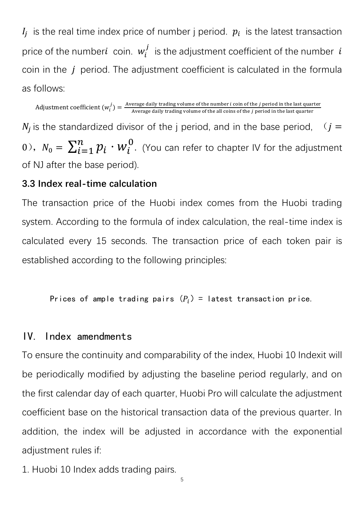$V_i$  is the real time index price of number j period.  $p_i$  is the latest transaction price of the number $i$  coin.  $w_i^j$  is the adjustment coefficient of the number  $\,i$ coin in the *j* period. The adjustment coefficient is calculated in the formula as follows:

Adjustment coefficient  $(w_i^j) = \frac{Average \, daily \, trading \, volume \, of \, the \, number \, i \, coin \, of \, the \, j \, period \, in \, the \, last \, quarter \, and \, the \, j \, period \, in \, the \, last \, quarter \, and \, and \, the \, j \, period \, in \, the \, last \, quarter \, and \, and \, the \, j \, period \, in \, the \, last \, quarter \, and \, and \, the \, grid \, does \, are \, different \, and \, the \, vertical \, total \, total \, total \, total \, vertical \, and \, vertical \, and \, vertical \, and \$  $N_j$  is the standardized divisor of the j period, and in the base period,  $(i =$ 0),  $N_0 = \sum_{i=1}^n p_i \cdot W_i^0$ . (You can refer to chapter IV for the adjustment of NJ after the base period).

#### **3.3 Index real-time calculation**

The transaction price of the Huobi index comes from the Huobi trading system. According to the formula of index calculation, the real-time index is calculated every 15 seconds. The transaction price of each token pair is established according to the following principles:

Prices of ample trading pairs  $(P_i)$  = latest transaction price.

#### IV. Index amendments

To ensure the continuity and comparability of the index, Huobi 10 Indexit will be periodically modified by adjusting the baseline period regularly, and on the first calendar day of each quarter, Huobi Pro will calculate the adjustment coefficient base on the historical transaction data of the previous quarter. In addition, the index will be adjusted in accordance with the exponential adiustment rules if:

1. Huobi 10 Index adds trading pairs.

5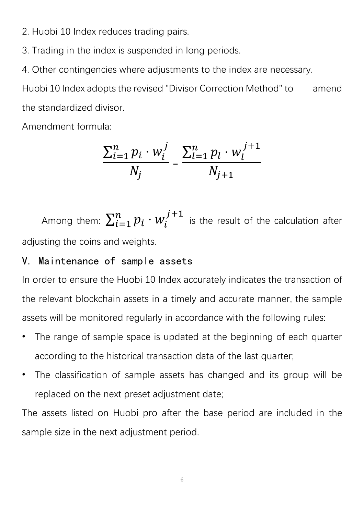2. Huobi 10 Index reduces trading pairs.

3. Trading in the index is suspended in long periods.

4. Other contingencies where adjustments to the index are necessary.

Huobi 10 Index adopts the revised "Divisor Correction Method" to amend the standardized divisor.

Amendment formula:

$$
\frac{\sum_{i=1}^{n} p_i \cdot w_i^j}{N_j} = \frac{\sum_{l=1}^{n} p_l \cdot w_l^{j+1}}{N_{j+1}}
$$

Among them:  $\sum_{i=1}^n p_i \cdot w_i^{j+1}$ is the result of the calculation after adjusting the coins and weights.

### V. Maintenance of sample assets

In order to ensure the Huobi 10 Index accurately indicates the transaction of the relevant blockchain assets in a timely and accurate manner, the sample assets will be monitored regularly in accordance with the following rules:

- The range of sample space is updated at the beginning of each quarter according to the historical transaction data of the last quarter;
- The classification of sample assets has changed and its group will be replaced on the next preset adjustment date;

The assets listed on Huobi pro after the base period are included in the sample size in the next adjustment period.

6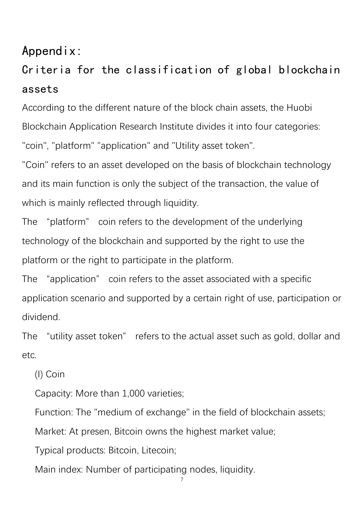# Appendix:

# Criteria for the classification of global blockchain assets

According to the different nature of the block chain assets, the Huobi Blockchain Application Research Institute divides it into four categories: "coin", "platform" "application" and "Utility asset token".

"Coin" refers to an asset developed on the basis of blockchain technology and its main function is only the subject of the transaction, the value of which is mainly reflected through liquidity.

The "platform" coin refers to the development of the underlying technology of the blockchain and supported by the right to use the platform or the right to participate in the platform.

The "application" coin refers to the asset associated with a specific application scenario and supported by a certain right of use, participation or dividend.

The "utility asset token" refers to the actual asset such as gold, dollar and etc.

(I) Coin

Capacity: More than 1,000 varieties;

Function: The "medium of exchange" in the field of blockchain assets;

Market: At presen, Bitcoin owns the highest market value;

Typical products: Bitcoin, Litecoin;

Main index: Number of participating nodes, liquidity.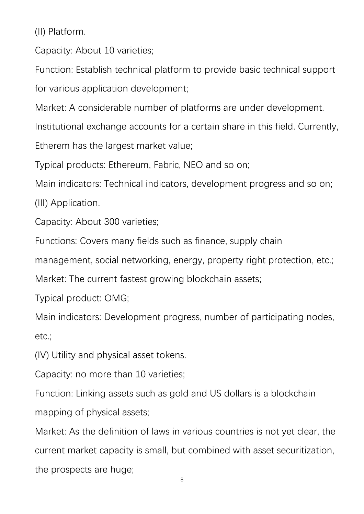(II) Platform.

Capacity: About 10 varieties;

Function: Establish technical platform to provide basic technical support for various application development;

Market: A considerable number of platforms are under development.

Institutional exchange accounts for a certain share in this field. Currently,

Etherem has the largest market value;

Typical products: Ethereum, Fabric, NEO and so on;

Main indicators: Technical indicators, development progress and so on;

(III) Application.

Capacity: About 300 varieties;

Functions: Covers many fields such as finance, supply chain

management, social networking, energy, property right protection, etc.;

Market: The current fastest growing blockchain assets;

Typical product: OMG;

Main indicators: Development progress, number of participating nodes, etc.;

(IV) Utility and physical asset tokens.

Capacity: no more than 10 varieties;

Function: Linking assets such as gold and US dollars is a blockchain mapping of physical assets;

Market: As the definition of laws in various countries is not yet clear, the current market capacity is small, but combined with asset securitization, the prospects are huge;